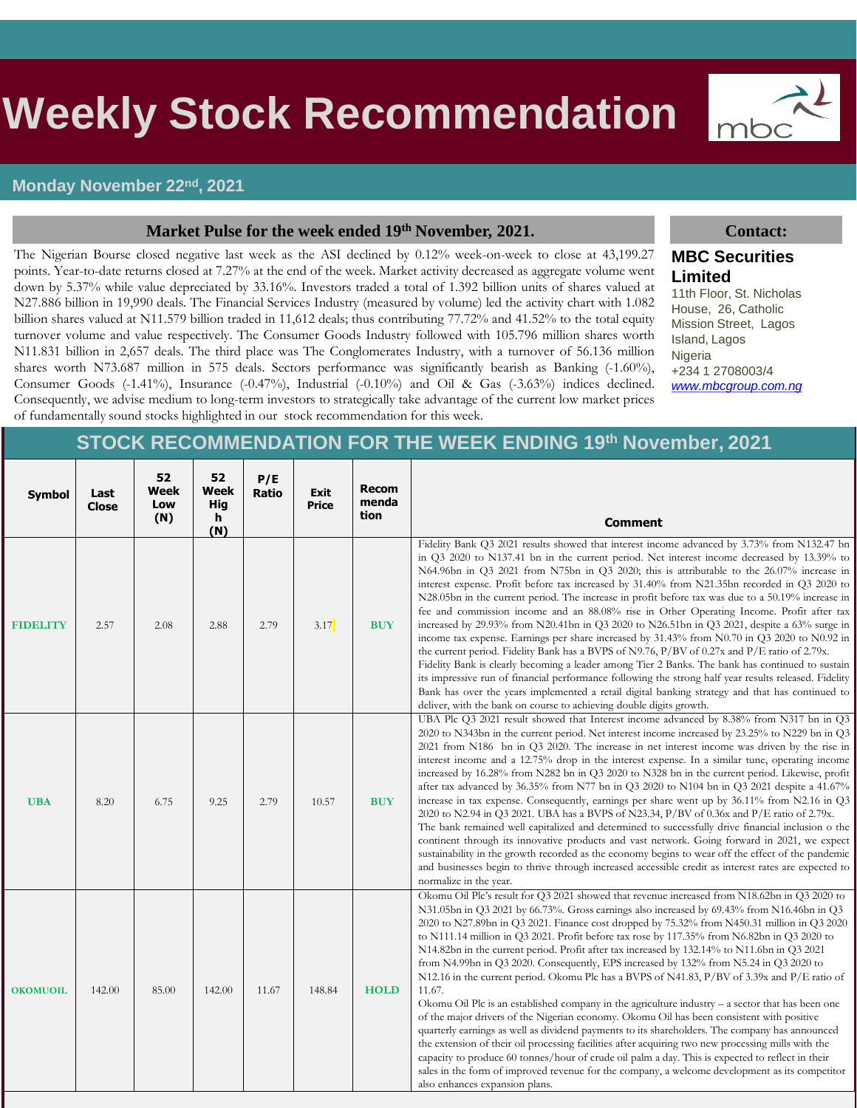## s **Weekly Stock Recommendation**

## **Monday November 22nd, 2021**

### **Market Pulse for the week ended 19th November, 2021. Contact:**

The Nigerian Bourse closed negative last week as the ASI declined by 0.12% week-on-week to close at 43,199.27 points. Year-to-date returns closed at 7.27% at the end of the week. Market activity decreased as aggregate volume went down by 5.37% while value depreciated by 33.16%. Investors traded a total of 1.392 billion units of shares valued at N27.886 billion in 19,990 deals. The Financial Services Industry (measured by volume) led the activity chart with 1.082 billion shares valued at N11.579 billion traded in 11,612 deals; thus contributing 77.72% and 41.52% to the total equity turnover volume and value respectively. The Consumer Goods Industry followed with 105.796 million shares worth N11.831 billion in 2,657 deals. The third place was The Conglomerates Industry, with a turnover of 56.136 million shares worth N73.687 million in 575 deals. Sectors performance was significantly bearish as Banking (-1.60%), Consumer Goods (-1.41%), Insurance (-0.47%), Industrial (-0.10%) and Oil & Gas (-3.63%) indices declined. Consequently, we advise medium to long-term investors to strategically take advantage of the current low market prices of fundamentally sound stocks highlighted in our stock recommendation for this week.

mbc

## **MBC Securities Limited**

11th Floor, St. Nicholas House, 26, Catholic Mission Street, Lagos Island, Lagos Nigeria +234 1 2708003/4 *[www.mbcgroup.com.ng](http://www.mbcgroup.com.ng/)*

## **STOCK RECOMMENDATION FOR THE WEEK ENDING 19th November, 2021**

| <b>Symbol</b>   | Last<br>Close | 52<br>Week<br>Low<br>(N) | 52<br>Week<br><b>Hig</b><br>h<br>(N) | P/E<br>Ratio | Exit<br>Price | Recom<br>menda<br>tion | <b>Comment</b>                                                                                                                                                                                                                                                                                                                                                                                                                                                                                                                                                                                                                                                                                                                                                                                                                                                                                                                                                                                                                                                                                                                                                                                                                                                                                                                                   |
|-----------------|---------------|--------------------------|--------------------------------------|--------------|---------------|------------------------|--------------------------------------------------------------------------------------------------------------------------------------------------------------------------------------------------------------------------------------------------------------------------------------------------------------------------------------------------------------------------------------------------------------------------------------------------------------------------------------------------------------------------------------------------------------------------------------------------------------------------------------------------------------------------------------------------------------------------------------------------------------------------------------------------------------------------------------------------------------------------------------------------------------------------------------------------------------------------------------------------------------------------------------------------------------------------------------------------------------------------------------------------------------------------------------------------------------------------------------------------------------------------------------------------------------------------------------------------|
| <b>FIDELITY</b> | 2.57          | 2.08                     | 2.88                                 | 2.79         | 3.17          | <b>BUY</b>             | Fidelity Bank Q3 2021 results showed that interest income advanced by 3.73% from N132.47 bn<br>in Q3 2020 to N137.41 bn in the current period. Net interest income decreased by 13.39% to<br>N64.96bn in Q3 2021 from N75bn in Q3 2020; this is attributable to the 26.07% increase in<br>interest expense. Profit before tax increased by 31.40% from N21.35bn recorded in Q3 2020 to<br>N28.05bn in the current period. The increase in profit before tax was due to a 50.19% increase in<br>fee and commission income and an 88.08% rise in Other Operating Income. Profit after tax<br>increased by 29.93% from N20.41bn in Q3 2020 to N26.51bn in Q3 2021, despite a 63% surge in<br>income tax expense. Earnings per share increased by 31.43% from N0.70 in Q3 2020 to N0.92 in<br>the current period. Fidelity Bank has a BVPS of N9.76, $P/BV$ of 0.27x and $P/E$ ratio of 2.79x.<br>Fidelity Bank is clearly becoming a leader among Tier 2 Banks. The bank has continued to sustain<br>its impressive run of financial performance following the strong half year results released. Fidelity<br>Bank has over the years implemented a retail digital banking strategy and that has continued to<br>deliver, with the bank on course to achieving double digits growth.                                                                |
| <b>UBA</b>      | 8.20          | 6.75                     | 9.25                                 | 2.79         | 10.57         | <b>BUY</b>             | UBA Plc Q3 2021 result showed that Interest income advanced by 8.38% from N317 bn in Q3<br>2020 to N343bn in the current period. Net interest income increased by 23.25% to N229 bn in Q3<br>2021 from N186 bn in Q3 2020. The increase in net interest income was driven by the rise in<br>interest income and a 12.75% drop in the interest expense. In a similar tune, operating income<br>increased by 16.28% from N282 bn in Q3 2020 to N328 bn in the current period. Likewise, profit<br>after tax advanced by 36.35% from N77 bn in Q3 2020 to N104 bn in Q3 2021 despite a 41.67%<br>increase in tax expense. Consequently, earnings per share went up by 36.11% from N2.16 in Q3<br>2020 to N2.94 in Q3 2021. UBA has a BVPS of N23.34, P/BV of 0.36x and P/E ratio of 2.79x.<br>The bank remained well capitalized and determined to successfully drive financial inclusion o the<br>continent through its innovative products and vast network. Going forward in 2021, we expect<br>sustainability in the growth recorded as the economy begins to wear off the effect of the pandemic<br>and businesses begin to thrive through increased accessible credit as interest rates are expected to<br>normalize in the year.                                                                                                             |
| <b>OKOMUOIL</b> | 142.00        | 85.00                    | 142.00                               | 11.67        | 148.84        | <b>HOLD</b>            | Okomu Oil Plc's result for Q3 2021 showed that revenue increased from N18.62bn in Q3 2020 to<br>N31.05bn in Q3 2021 by 66.73%. Gross earnings also increased by 69.43% from N16.46bn in Q3<br>2020 to N27.89bn in Q3 2021. Finance cost dropped by 75.32% from N450.31 million in Q3 2020<br>to N111.14 million in Q3 2021. Profit before tax rose by 117.35% from N6.82bn in Q3 2020 to<br>N14.82bn in the current period. Profit after tax increased by 132.14% to N11.6bn in Q3 2021<br>from N4.99bn in Q3 2020. Consequently, EPS increased by $132\%$ from N5.24 in Q3 2020 to<br>N12.16 in the current period. Okomu Plc has a BVPS of N41.83, P/BV of 3.39x and P/E ratio of<br>11.67.<br>Okomu Oil Plc is an established company in the agriculture industry $-$ a sector that has been one<br>of the major drivers of the Nigerian economy. Okomu Oil has been consistent with positive<br>quarterly earnings as well as dividend payments to its shareholders. The company has announced<br>the extension of their oil processing facilities after acquiring two new processing mills with the<br>capacity to produce 60 tonnes/hour of crude oil palm a day. This is expected to reflect in their<br>sales in the form of improved revenue for the company, a welcome development as its competitor<br>also enhances expansion plans. |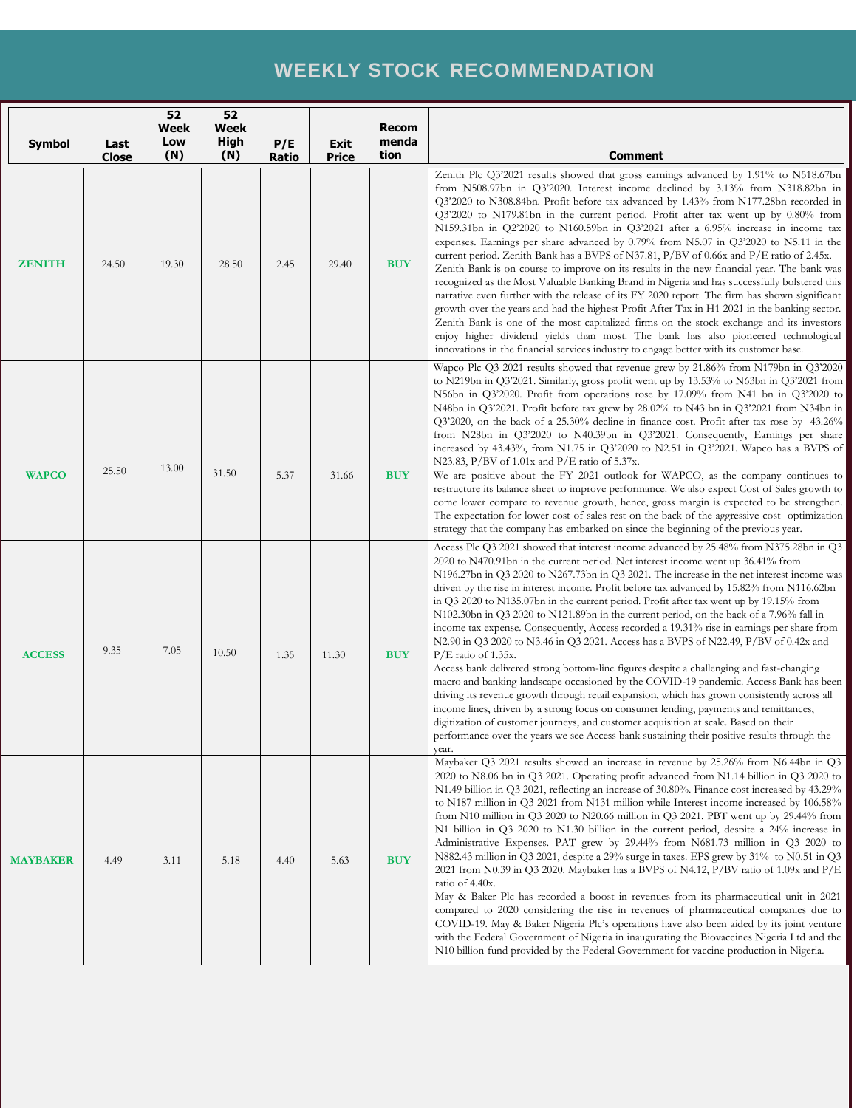## **WEEKLY STOCK RECOMMENDATION**

| Symbol          | Last<br>Close | 52<br>Week<br>Low<br>(N) | 52<br><b>Week</b><br><b>High</b><br>(N) | P/E<br><b>Ratio</b> | Exit<br>Price | <b>Recom</b><br>menda<br>tion | <b>Comment</b>                                                                                                                                                                                                                                                                                                                                                                                                                                                                                                                                                                                                                                                                                                                                                                                                                                                                                                                                                                                                                                                                                                                                                                                                                                                                                                                                          |
|-----------------|---------------|--------------------------|-----------------------------------------|---------------------|---------------|-------------------------------|---------------------------------------------------------------------------------------------------------------------------------------------------------------------------------------------------------------------------------------------------------------------------------------------------------------------------------------------------------------------------------------------------------------------------------------------------------------------------------------------------------------------------------------------------------------------------------------------------------------------------------------------------------------------------------------------------------------------------------------------------------------------------------------------------------------------------------------------------------------------------------------------------------------------------------------------------------------------------------------------------------------------------------------------------------------------------------------------------------------------------------------------------------------------------------------------------------------------------------------------------------------------------------------------------------------------------------------------------------|
| <b>ZENITH</b>   | 24.50         | 19.30                    | 28.50                                   | 2.45                | 29.40         | <b>BUY</b>                    | Zenith Plc Q3'2021 results showed that gross earnings advanced by 1.91% to N518.67bn<br>from N508.97bn in Q3'2020. Interest income declined by 3.13% from N318.82bn in<br>Q3'2020 to N308.84bn. Profit before tax advanced by 1.43% from N177.28bn recorded in<br>Q3'2020 to N179.81bn in the current period. Profit after tax went up by 0.80% from<br>N159.31bn in Q2'2020 to N160.59bn in Q3'2021 after a 6.95% increase in income tax<br>expenses. Earnings per share advanced by 0.79% from N5.07 in Q3'2020 to N5.11 in the<br>current period. Zenith Bank has a BVPS of N37.81, $P/BV$ of 0.66x and $P/E$ ratio of 2.45x.<br>Zenith Bank is on course to improve on its results in the new financial year. The bank was<br>recognized as the Most Valuable Banking Brand in Nigeria and has successfully bolstered this<br>narrative even further with the release of its FY 2020 report. The firm has shown significant<br>growth over the years and had the highest Profit After Tax in H1 2021 in the banking sector.<br>Zenith Bank is one of the most capitalized firms on the stock exchange and its investors<br>enjoy higher dividend yields than most. The bank has also pioneered technological<br>innovations in the financial services industry to engage better with its customer base.                                             |
| <b>WAPCO</b>    | 25.50         | 13.00                    | 31.50                                   | 5.37                | 31.66         | <b>BUY</b>                    | Wapco Plc Q3 2021 results showed that revenue grew by 21.86% from N179bn in Q3'2020<br>to N219bn in Q3'2021. Similarly, gross profit went up by 13.53% to N63bn in Q3'2021 from<br>N56bn in Q3'2020. Profit from operations rose by 17.09% from N41 bn in Q3'2020 to<br>N48bn in Q3'2021. Profit before tax grew by 28.02% to N43 bn in Q3'2021 from N34bn in<br>Q3'2020, on the back of a 25.30% decline in finance cost. Profit after tax rose by 43.26%<br>from N28bn in Q3'2020 to N40.39bn in Q3'2021. Consequently, Earnings per share<br>increased by 43.43%, from N1.75 in Q3'2020 to N2.51 in Q3'2021. Wapco has a BVPS of<br>N23.83, P/BV of $1.01x$ and P/E ratio of $5.37x$ .<br>We are positive about the FY 2021 outlook for WAPCO, as the company continues to<br>restructure its balance sheet to improve performance. We also expect Cost of Sales growth to<br>come lower compare to revenue growth, hence, gross margin is expected to be strengthen.<br>The expectation for lower cost of sales rest on the back of the aggressive cost optimization<br>strategy that the company has embarked on since the beginning of the previous year.                                                                                                                                                                                         |
| <b>ACCESS</b>   | 9.35          | 7.05                     | 10.50                                   | 1.35                | 11.30         | <b>BUY</b>                    | Access Plc Q3 2021 showed that interest income advanced by 25.48% from N375.28bn in Q3<br>2020 to N470.91bn in the current period. Net interest income went up 36.41% from<br>N196.27bn in Q3 2020 to N267.73bn in Q3 2021. The increase in the net interest income was<br>driven by the rise in interest income. Profit before tax advanced by 15.82% from N116.62bn<br>in Q3 2020 to N135.07bn in the current period. Profit after tax went up by 19.15% from<br>N102.30bn in Q3 2020 to N121.89bn in the current period, on the back of a 7.96% fall in<br>income tax expense. Consequently, Access recorded a 19.31% rise in earnings per share from<br>N2.90 in Q3 2020 to N3.46 in Q3 2021. Access has a BVPS of N22.49, P/BV of 0.42x and<br>$P/E$ ratio of 1.35x.<br>Access bank delivered strong bottom-line figures despite a challenging and fast-changing<br>macro and banking landscape occasioned by the COVID-19 pandemic. Access Bank has been<br>driving its revenue growth through retail expansion, which has grown consistently across all<br>income lines, driven by a strong focus on consumer lending, payments and remittances,<br>digitization of customer journeys, and customer acquisition at scale. Based on their<br>performance over the years we see Access bank sustaining their positive results through the<br>year. |
| <b>MAYBAKER</b> | 4.49          | 3.11                     | 5.18                                    | 4.40                | 5.63          | <b>BUY</b>                    | Maybaker Q3 2021 results showed an increase in revenue by 25.26% from N6.44bn in Q3<br>2020 to N8.06 bn in Q3 2021. Operating profit advanced from N1.14 billion in Q3 2020 to<br>N1.49 billion in Q3 2021, reflecting an increase of 30.80%. Finance cost increased by 43.29%<br>to N187 million in Q3 2021 from N131 million while Interest income increased by 106.58%<br>from N10 million in Q3 2020 to N20.66 million in Q3 2021. PBT went up by $29.44\%$ from<br>N1 billion in Q3 2020 to N1.30 billion in the current period, despite a 24% increase in<br>Administrative Expenses. PAT grew by 29.44% from N681.73 million in Q3 2020 to<br>N882.43 million in Q3 2021, despite a 29% surge in taxes. EPS grew by 31% to N0.51 in Q3<br>2021 from N0.39 in Q3 2020. Maybaker has a BVPS of N4.12, $P/BV$ ratio of 1.09x and $P/E$<br>ratio of 4.40x.<br>May & Baker Plc has recorded a boost in revenues from its pharmaceutical unit in 2021<br>compared to 2020 considering the rise in revenues of pharmaceutical companies due to<br>COVID-19. May & Baker Nigeria Plc's operations have also been aided by its joint venture<br>with the Federal Government of Nigeria in inaugurating the Biovaccines Nigeria Ltd and the<br>N10 billion fund provided by the Federal Government for vaccine production in Nigeria.                      |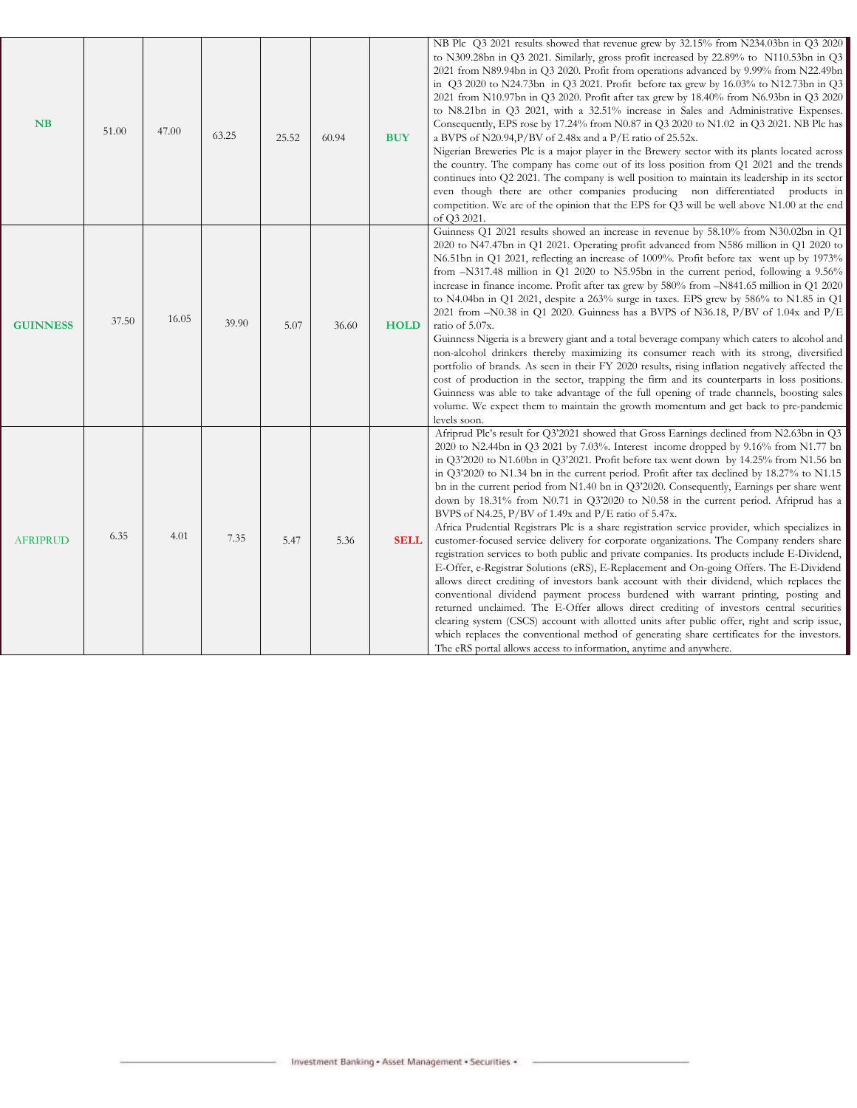| <b>NB</b>       | 51.00 | 47.00 | 63.25 | 25.52 | 60.94 | <b>BUY</b>  | NB Plc Q3 2021 results showed that revenue grew by 32.15% from N234.03bn in Q3 2020<br>to N309.28bn in Q3 2021. Similarly, gross profit increased by 22.89% to N110.53bn in Q3<br>2021 from N89.94bn in Q3 2020. Profit from operations advanced by 9.99% from N22.49bn<br>in Q3 2020 to N24.73bn in Q3 2021. Profit before tax grew by 16.03% to N12.73bn in Q3<br>2021 from N10.97bn in Q3 2020. Profit after tax grew by 18.40% from N6.93bn in Q3 2020<br>to N8.21bn in Q3 2021, with a 32.51% increase in Sales and Administrative Expenses.<br>Consequently, EPS rose by 17.24% from N0.87 in Q3 2020 to N1.02 in Q3 2021. NB Plc has<br>a BVPS of N20.94, P/BV of 2.48x and a P/E ratio of 25.52x.<br>Nigerian Breweries Plc is a major player in the Brewery sector with its plants located across<br>the country. The company has come out of its loss position from Q1 2021 and the trends<br>continues into Q2 2021. The company is well position to maintain its leadership in its sector<br>even though there are other companies producing non differentiated products in<br>competition. We are of the opinion that the EPS for Q3 will be well above N1.00 at the end<br>of Q3 2021.                                                                                                                                                                                                                                                                                                                                                              |
|-----------------|-------|-------|-------|-------|-------|-------------|-------------------------------------------------------------------------------------------------------------------------------------------------------------------------------------------------------------------------------------------------------------------------------------------------------------------------------------------------------------------------------------------------------------------------------------------------------------------------------------------------------------------------------------------------------------------------------------------------------------------------------------------------------------------------------------------------------------------------------------------------------------------------------------------------------------------------------------------------------------------------------------------------------------------------------------------------------------------------------------------------------------------------------------------------------------------------------------------------------------------------------------------------------------------------------------------------------------------------------------------------------------------------------------------------------------------------------------------------------------------------------------------------------------------------------------------------------------------------------------------------------------------------------------------------------------------|
| <b>GUINNESS</b> | 37.50 | 16.05 | 39.90 | 5.07  | 36.60 | <b>HOLD</b> | Guinness Q1 2021 results showed an increase in revenue by 58.10% from N30.02bn in Q1<br>2020 to N47.47bn in Q1 2021. Operating profit advanced from N586 million in Q1 2020 to<br>N6.51bn in Q1 2021, reflecting an increase of 1009%. Profit before tax went up by 1973%<br>from -N317.48 million in Q1 2020 to N5.95bn in the current period, following a 9.56%<br>increase in finance income. Profit after tax grew by 580% from -N841.65 million in Q1 2020<br>to N4.04bn in Q1 2021, despite a $263\%$ surge in taxes. EPS grew by 586% to N1.85 in Q1<br>2021 from $-N0.38$ in Q1 2020. Guinness has a BVPS of N36.18, P/BV of 1.04x and P/E<br>ratio of 5.07x.<br>Guinness Nigeria is a brewery giant and a total beverage company which caters to alcohol and<br>non-alcohol drinkers thereby maximizing its consumer reach with its strong, diversified<br>portfolio of brands. As seen in their FY 2020 results, rising inflation negatively affected the<br>cost of production in the sector, trapping the firm and its counterparts in loss positions.<br>Guinness was able to take advantage of the full opening of trade channels, boosting sales<br>volume. We expect them to maintain the growth momentum and get back to pre-pandemic<br>levels soon.                                                                                                                                                                                                                                                                                            |
| <b>AFRIPRUD</b> | 6.35  | 4.01  | 7.35  | 5.47  | 5.36  | <b>SELL</b> | Afriprud Plc's result for Q3'2021 showed that Gross Earnings declined from N2.63bn in Q3<br>2020 to N2.44bn in Q3 2021 by 7.03%. Interest income dropped by 9.16% from N1.77 bn<br>in Q3'2020 to N1.60bn in Q3'2021. Profit before tax went down by 14.25% from N1.56 bn<br>in Q3'2020 to N1.34 bn in the current period. Profit after tax declined by 18.27% to N1.15<br>bn in the current period from N1.40 bn in Q3'2020. Consequently, Earnings per share went<br>down by 18.31% from N0.71 in Q3'2020 to N0.58 in the current period. Afriprud has a<br>BVPS of N4.25, $P/BV$ of 1.49x and $P/E$ ratio of 5.47x.<br>Africa Prudential Registrars Plc is a share registration service provider, which specializes in<br>customer-focused service delivery for corporate organizations. The Company renders share<br>registration services to both public and private companies. Its products include E-Dividend,<br>E-Offer, e-Registrar Solutions (eRS), E-Replacement and On-going Offers. The E-Dividend<br>allows direct crediting of investors bank account with their dividend, which replaces the<br>conventional dividend payment process burdened with warrant printing, posting and<br>returned unclaimed. The E-Offer allows direct crediting of investors central securities<br>clearing system (CSCS) account with allotted units after public offer, right and scrip issue,<br>which replaces the conventional method of generating share certificates for the investors.<br>The eRS portal allows access to information, anytime and anywhere. |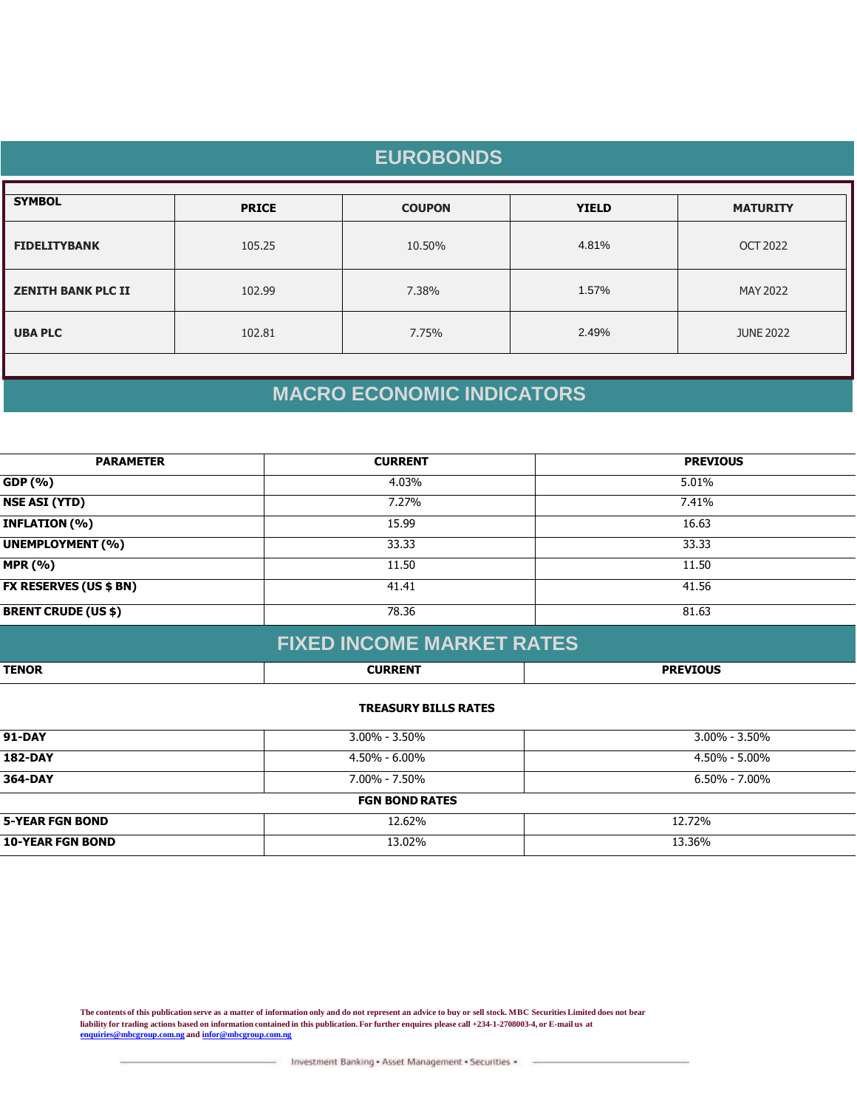| <b>EUROBONDS</b>          |              |               |              |                  |  |
|---------------------------|--------------|---------------|--------------|------------------|--|
| <b>SYMBOL</b>             | <b>PRICE</b> | <b>COUPON</b> | <b>YIELD</b> | <b>MATURITY</b>  |  |
| <b>FIDELITYBANK</b>       | 105.25       | 10.50%        | 4.81%        | <b>OCT 2022</b>  |  |
| <b>ZENITH BANK PLC II</b> | 102.99       | 7.38%         | 1.57%        | MAY 2022         |  |
| <b>UBA PLC</b>            | 102.81       | 7.75%         | 2.49%        | <b>JUNE 2022</b> |  |
|                           |              |               |              |                  |  |

# **MACRO ECONOMIC INDICATORS**

| <b>PARAMETER</b>              | <b>CURRENT</b> | <b>PREVIOUS</b> |
|-------------------------------|----------------|-----------------|
| GDP (%)                       | 4.03%          | 5.01%           |
| <b>NSE ASI (YTD)</b>          | 7.27%          | 7.41%           |
| <b>INFLATION (%)</b>          | 15.99          | 16.63           |
| <b>UNEMPLOYMENT (%)</b>       | 33.33          | 33.33           |
| <b>MPR (%)</b>                | 11.50          | 11.50           |
| <b>FX RESERVES (US \$ BN)</b> | 41.41          | 41.56           |
| <b>BRENT CRUDE (US \$)</b>    | 78.36          | 81.63           |
|                               |                |                 |

|              | <b>FIXED INCOME MARKET RATES!</b> |                 |
|--------------|-----------------------------------|-----------------|
| <b>TENOR</b> | <b>CURRENT</b>                    | <b>PREVIOUS</b> |

### **TREASURY BILLS RATES**

| <b>91-DAY</b>           | $3.00\% - 3.50\%$     | $3.00\%$ - 3.50%  |  |
|-------------------------|-----------------------|-------------------|--|
| <b>182-DAY</b>          | 4.50% - 6.00%         | 4.50% - 5.00%     |  |
| 364-DAY                 | $7.00\% - 7.50\%$     | $6.50\% - 7.00\%$ |  |
|                         | <b>FGN BOND RATES</b> |                   |  |
| <b>5-YEAR FGN BOND</b>  | 12.62%                | 12.72%            |  |
| <b>10-YEAR FGN BOND</b> | 13.02%                | 13.36%            |  |

**The contents of this publication serve as a matter of information only and do not represent an advice to buy or sell stock. MBC Securities Limited does not bear liability for trading actions based on information contained in this publication. For further enquires please call +234-1-2708003-4, or E-mail us at [enquiries@mbcgroup.com.ng](mailto:enquiries@mbcgroup.com.ng) and [infor@mbcgroup.com.ng](mailto:infor@mbcgroup.com.ng)**

Investment Banking - Asset Management - Securities -